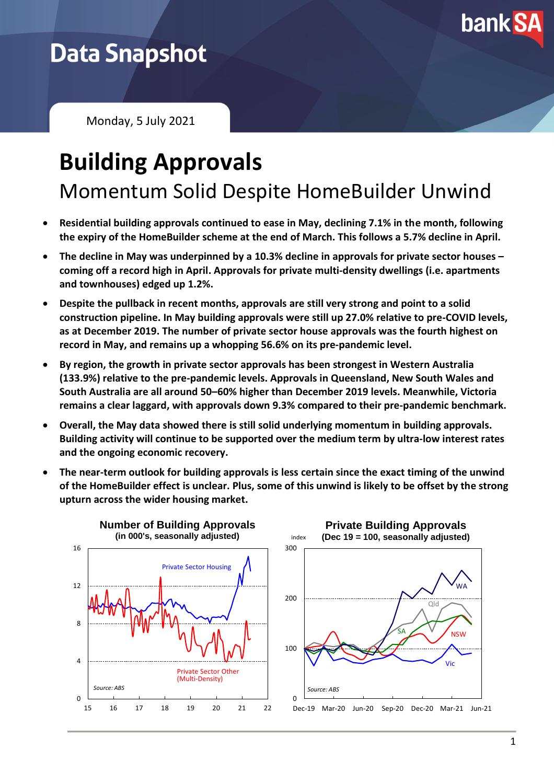

## **Data Snapshot**

Monday, 5 July 2021

## **Building Approvals** Momentum Solid Despite HomeBuilder Unwind

- **Residential building approvals continued to ease in May, declining 7.1% in the month, following the expiry of the HomeBuilder scheme at the end of March. This follows a 5.7% decline in April.**
- **The decline in May was underpinned by a 10.3% decline in approvals for private sector houses – coming off a record high in April. Approvals for private multi-density dwellings (i.e. apartments and townhouses) edged up 1.2%.**
- **Despite the pullback in recent months, approvals are still very strong and point to a solid construction pipeline. In May building approvals were still up 27.0% relative to pre-COVID levels, as at December 2019. The number of private sector house approvals was the fourth highest on record in May, and remains up a whopping 56.6% on its pre-pandemic level.**
- **By region, the growth in private sector approvals has been strongest in Western Australia (133.9%) relative to the pre-pandemic levels. Approvals in Queensland, New South Wales and South Australia are all around 50–60% higher than December 2019 levels. Meanwhile, Victoria remains a clear laggard, with approvals down 9.3% compared to their pre-pandemic benchmark.**
- **Overall, the May data showed there is still solid underlying momentum in building approvals. Building activity will continue to be supported over the medium term by ultra-low interest rates and the ongoing economic recovery.**
- **The near-term outlook for building approvals is less certain since the exact timing of the unwind of the HomeBuilder effect is unclear. Plus, some of this unwind is likely to be offset by the strong upturn across the wider housing market.**



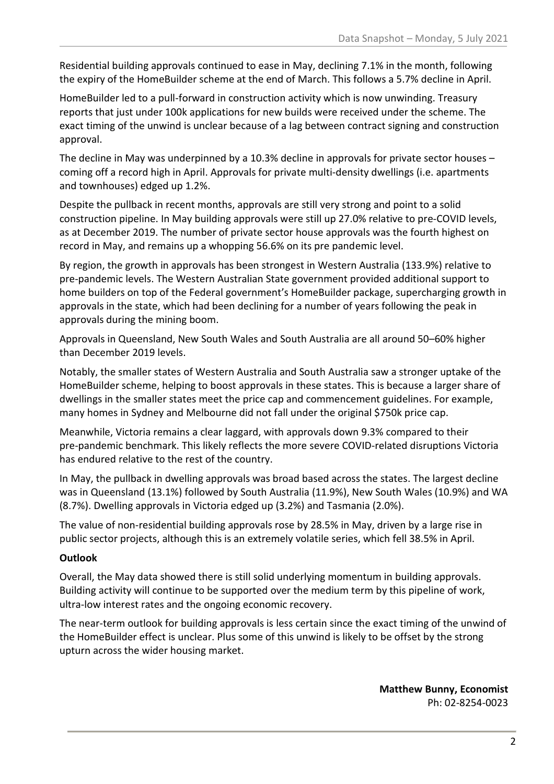Residential building approvals continued to ease in May, declining 7.1% in the month, following the expiry of the HomeBuilder scheme at the end of March. This follows a 5.7% decline in April.

HomeBuilder led to a pull-forward in construction activity which is now unwinding. Treasury reports that just under 100k applications for new builds were received under the scheme. The exact timing of the unwind is unclear because of a lag between contract signing and construction approval.

The decline in May was underpinned by a 10.3% decline in approvals for private sector houses – coming off a record high in April. Approvals for private multi-density dwellings (i.e. apartments and townhouses) edged up 1.2%.

Despite the pullback in recent months, approvals are still very strong and point to a solid construction pipeline. In May building approvals were still up 27.0% relative to pre-COVID levels, as at December 2019. The number of private sector house approvals was the fourth highest on record in May, and remains up a whopping 56.6% on its pre pandemic level.

By region, the growth in approvals has been strongest in Western Australia (133.9%) relative to pre-pandemic levels. The Western Australian State government provided additional support to home builders on top of the Federal government's HomeBuilder package, supercharging growth in approvals in the state, which had been declining for a number of years following the peak in approvals during the mining boom.

Approvals in Queensland, New South Wales and South Australia are all around 50–60% higher than December 2019 levels.

Notably, the smaller states of Western Australia and South Australia saw a stronger uptake of the HomeBuilder scheme, helping to boost approvals in these states. This is because a larger share of dwellings in the smaller states meet the price cap and commencement guidelines. For example, many homes in Sydney and Melbourne did not fall under the original \$750k price cap.

Meanwhile, Victoria remains a clear laggard, with approvals down 9.3% compared to their pre-pandemic benchmark. This likely reflects the more severe COVID-related disruptions Victoria has endured relative to the rest of the country.

In May, the pullback in dwelling approvals was broad based across the states. The largest decline was in Queensland (13.1%) followed by South Australia (11.9%), New South Wales (10.9%) and WA (8.7%). Dwelling approvals in Victoria edged up (3.2%) and Tasmania (2.0%).

The value of non-residential building approvals rose by 28.5% in May, driven by a large rise in public sector projects, although this is an extremely volatile series, which fell 38.5% in April.

## **Outlook**

Overall, the May data showed there is still solid underlying momentum in building approvals. Building activity will continue to be supported over the medium term by this pipeline of work, ultra-low interest rates and the ongoing economic recovery.

The near-term outlook for building approvals is less certain since the exact timing of the unwind of the HomeBuilder effect is unclear. Plus some of this unwind is likely to be offset by the strong upturn across the wider housing market.

> **Matthew Bunny, Economist** Ph: 02-8254-0023